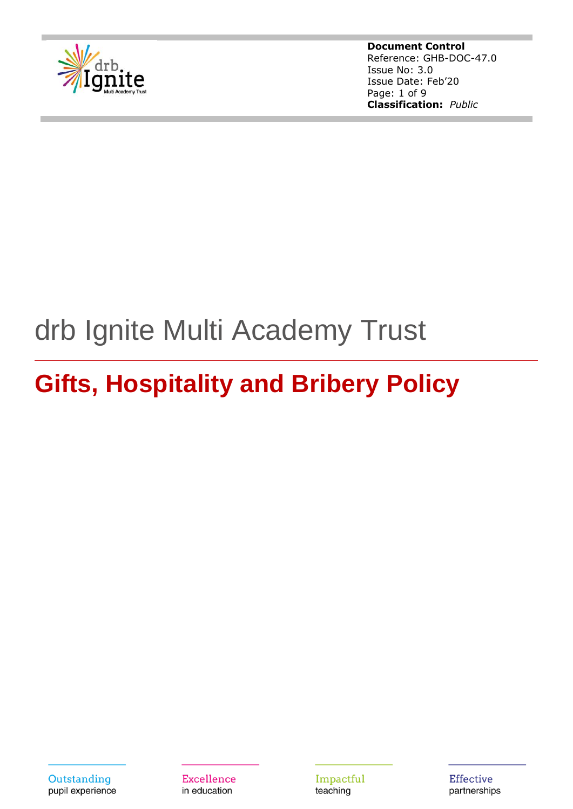

**Document Control** Reference: GHB-DOC-47.0 Issue No: 3.0 Issue Date: Feb'20 Page: 1 of 9 **Classification:** *Public*

# drb Ignite Multi Academy Trust

# **Gifts, Hospitality and Bribery Policy**

Outstanding pupil experience **Excellence** in education

Impactful teaching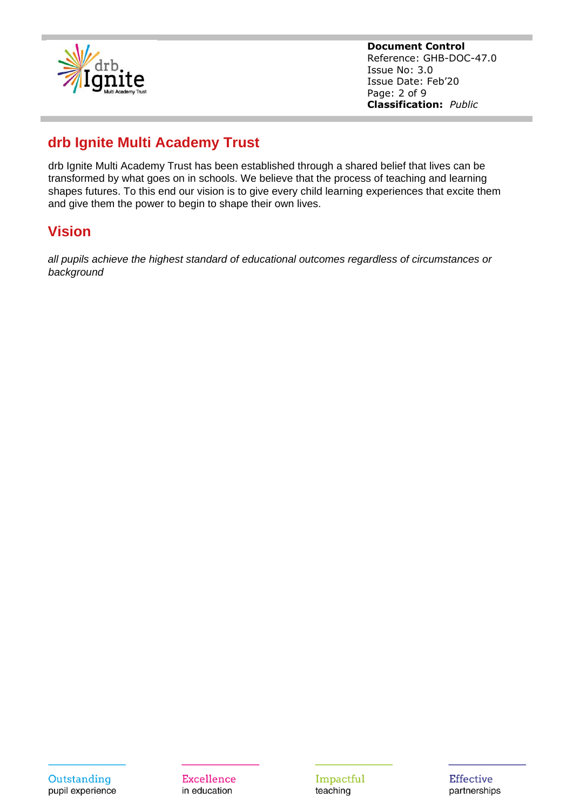

**Document Control** Reference: GHB-DOC-47.0 Issue No: 3.0 Issue Date: Feb'20 Page: 2 of 9 **Classification:** *Public*

# **drb Ignite Multi Academy Trust**

drb Ignite Multi Academy Trust has been established through a shared belief that lives can be transformed by what goes on in schools. We believe that the process of teaching and learning shapes futures. To this end our vision is to give every child learning experiences that excite them and give them the power to begin to shape their own lives.

# **Vision**

*all pupils achieve the highest standard of educational outcomes regardless of circumstances or background*

Impactful teaching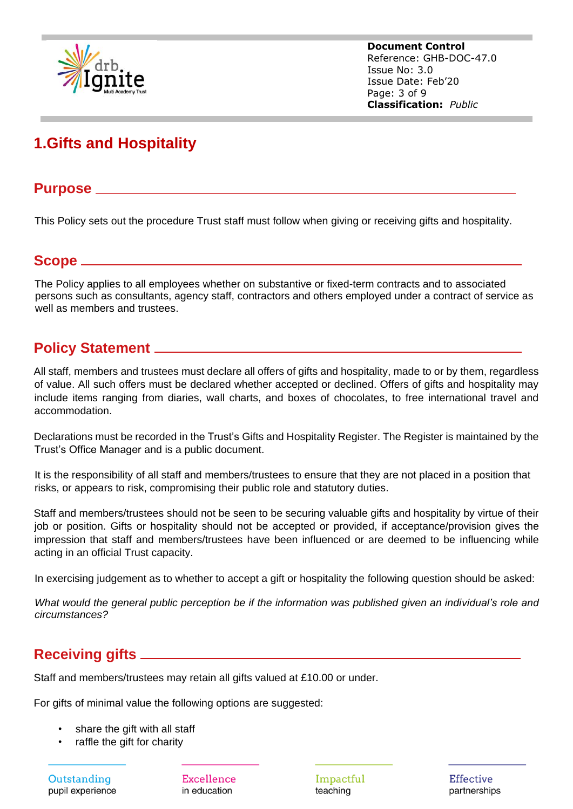

**Document Control** Reference: GHB-DOC-47.0 Issue No: 3.0 Issue Date: Feb'20 Page: 3 of 9 **Classification:** *Public*

# **1.Gifts and Hospitality**

#### **Purpose**

This Policy sets out the procedure Trust staff must follow when giving or receiving gifts and hospitality.

#### **Scope**

The Policy applies to all employees whether on substantive or fixed-term contracts and to associated persons such as consultants, agency staff, contractors and others employed under a contract of service as well as members and trustees.

# **Policy Statement**

All staff, members and trustees must declare all offers of gifts and hospitality, made to or by them, regardless of value. All such offers must be declared whether accepted or declined. Offers of gifts and hospitality may include items ranging from diaries, wall charts, and boxes of chocolates, to free international travel and accommodation.

Declarations must be recorded in the Trust's Gifts and Hospitality Register. The Register is maintained by the Trust's Office Manager and is a public document.

It is the responsibility of all staff and members/trustees to ensure that they are not placed in a position that risks, or appears to risk, compromising their public role and statutory duties.

Staff and members/trustees should not be seen to be securing valuable gifts and hospitality by virtue of their job or position. Gifts or hospitality should not be accepted or provided, if acceptance/provision gives the impression that staff and members/trustees have been influenced or are deemed to be influencing while acting in an official Trust capacity.

In exercising judgement as to whether to accept a gift or hospitality the following question should be asked:

*What would the general public perception be if the information was published given an individual's role and circumstances?*

# **Receiving gifts**

Staff and members/trustees may retain all gifts valued at £10.00 or under.

For gifts of minimal value the following options are suggested:

- share the gift with all staff
- raffle the gift for charity

Outstanding pupil experience Excellence in education

Impactful teaching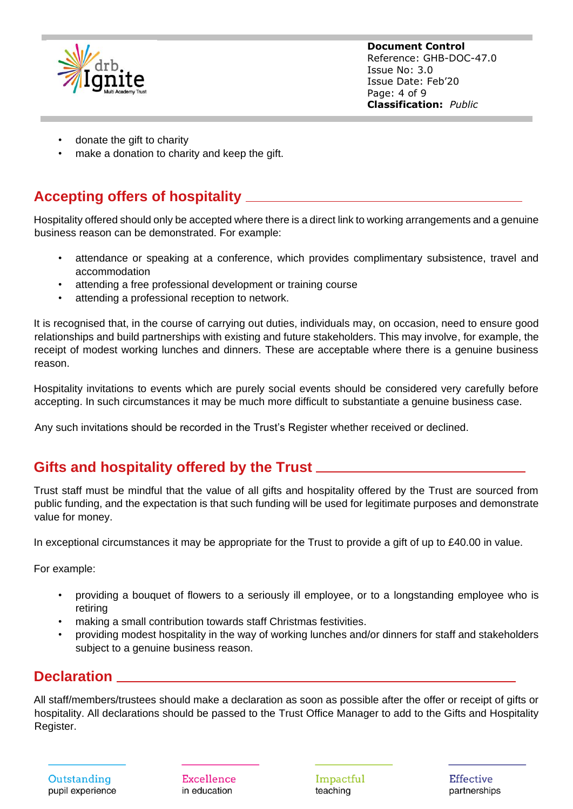

**Document Control** Reference: GHB-DOC-47.0 Issue No: 3.0 Issue Date: Feb'20 Page: 4 of 9 **Classification:** *Public*

- donate the gift to charity
- make a donation to charity and keep the gift.

## **Accepting offers of hospitality**

Hospitality offered should only be accepted where there is a direct link to working arrangements and a genuine business reason can be demonstrated. For example:

- attendance or speaking at a conference, which provides complimentary subsistence, travel and accommodation
- attending a free professional development or training course
- attending a professional reception to network.

It is recognised that, in the course of carrying out duties, individuals may, on occasion, need to ensure good relationships and build partnerships with existing and future stakeholders. This may involve, for example, the receipt of modest working lunches and dinners. These are acceptable where there is a genuine business reason.

Hospitality invitations to events which are purely social events should be considered very carefully before accepting. In such circumstances it may be much more difficult to substantiate a genuine business case.

Any such invitations should be recorded in the Trust's Register whether received or declined.

# **Gifts and hospitality offered by the Trust**

Trust staff must be mindful that the value of all gifts and hospitality offered by the Trust are sourced from public funding, and the expectation is that such funding will be used for legitimate purposes and demonstrate value for money.

In exceptional circumstances it may be appropriate for the Trust to provide a gift of up to £40.00 in value.

For example:

- providing a bouquet of flowers to a seriously ill employee, or to a longstanding employee who is retiring
- making a small contribution towards staff Christmas festivities.
- providing modest hospitality in the way of working lunches and/or dinners for staff and stakeholders subject to a genuine business reason.

#### **Declaration**

All staff/members/trustees should make a declaration as soon as possible after the offer or receipt of gifts or hospitality. All declarations should be passed to the Trust Office Manager to add to the Gifts and Hospitality Register.

Outstanding pupil experience **Excellence** in education

Impactful teaching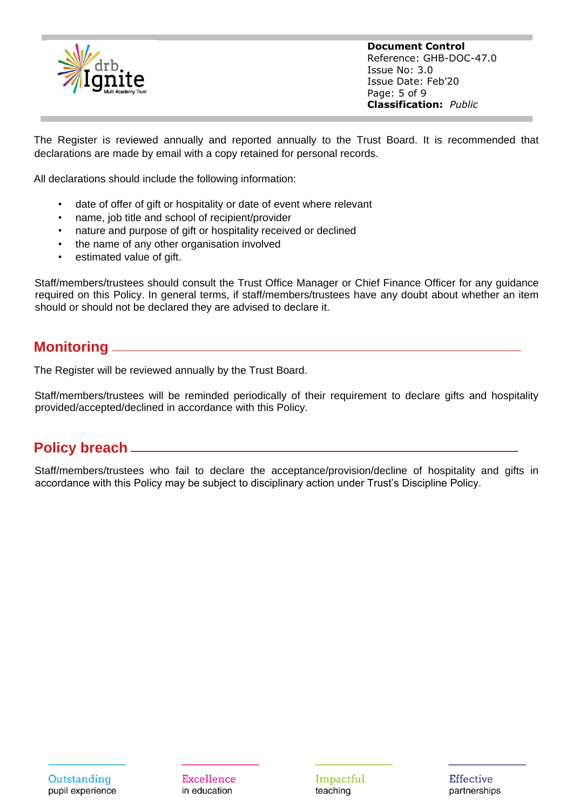

**Document Control** Reference: GHB-DOC-47.0 Issue No: 3.0 Issue Date: Feb'20 Page: 5 of 9 **Classification:** *Public*

The Register is reviewed annually and reported annually to the Trust Board. It is recommended that declarations are made by email with a copy retained for personal records.

All declarations should include the following information:

- date of offer of gift or hospitality or date of event where relevant
- name, job title and school of recipient/provider
- nature and purpose of gift or hospitality received or declined
- the name of any other organisation involved
- estimated value of gift.

Staff/members/trustees should consult the Trust Office Manager or Chief Finance Officer for any guidance required on this Policy. In general terms, if staff/members/trustees have any doubt about whether an item should or should not be declared they are advised to declare it.

#### **Monitoring**

The Register will be reviewed annually by the Trust Board.

Staff/members/trustees will be reminded periodically of their requirement to declare gifts and hospitality provided/accepted/declined in accordance with this Policy.

# **Policy breach**

Staff/members/trustees who fail to declare the acceptance/provision/decline of hospitality and gifts in accordance with this Policy may be subject to disciplinary action under Trust's Discipline Policy.

**Excellence** in education

Impactful teaching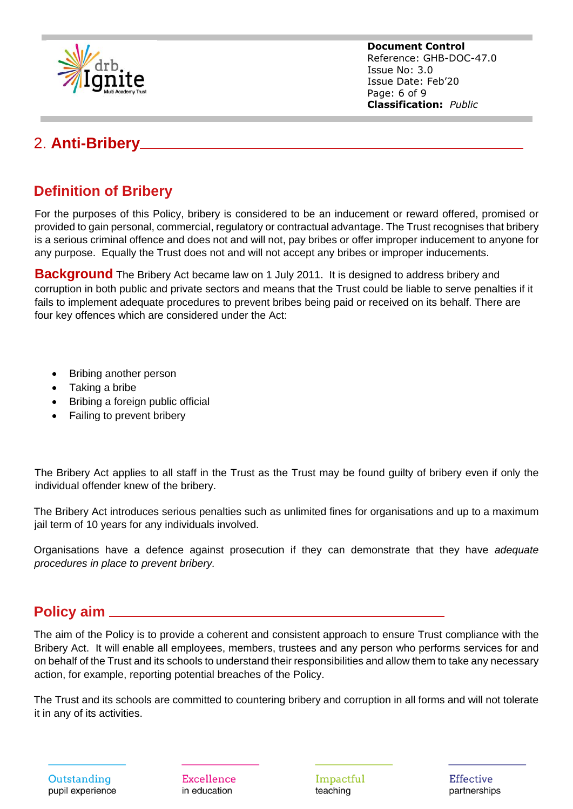

**Document Control** Reference: GHB-DOC-47.0 Issue No: 3.0 Issue Date: Feb'20 Page: 6 of 9 **Classification:** *Public*

# 2. **Anti-Bribery**

# **Definition of Bribery**

For the purposes of this Policy, bribery is considered to be an inducement or reward offered, promised or provided to gain personal, commercial, regulatory or contractual advantage. The Trust recognises that bribery is a serious criminal offence and does not and will not, pay bribes or offer improper inducement to anyone for any purpose. Equally the Trust does not and will not accept any bribes or improper inducements.

**Background** The Bribery Act became law on 1 July 2011. It is designed to address bribery and corruption in both public and private sectors and means that the Trust could be liable to serve penalties if it fails to implement adequate procedures to prevent bribes being paid or received on its behalf. There are four key offences which are considered under the Act:

- Bribing another person
- Taking a bribe
- Bribing a foreign public official
- Failing to prevent bribery

The Bribery Act applies to all staff in the Trust as the Trust may be found guilty of bribery even if only the individual offender knew of the bribery.

The Bribery Act introduces serious penalties such as unlimited fines for organisations and up to a maximum jail term of 10 years for any individuals involved.

Organisations have a defence against prosecution if they can demonstrate that they have *adequate procedures in place to prevent bribery.*

### **Policy aim**

The aim of the Policy is to provide a coherent and consistent approach to ensure Trust compliance with the Bribery Act. It will enable all employees, members, trustees and any person who performs services for and on behalf of the Trust and its schools to understand their responsibilities and allow them to take any necessary action, for example, reporting potential breaches of the Policy.

The Trust and its schools are committed to countering bribery and corruption in all forms and will not tolerate it in any of its activities.

Outstanding pupil experience **Excellence** in education

Impactful teaching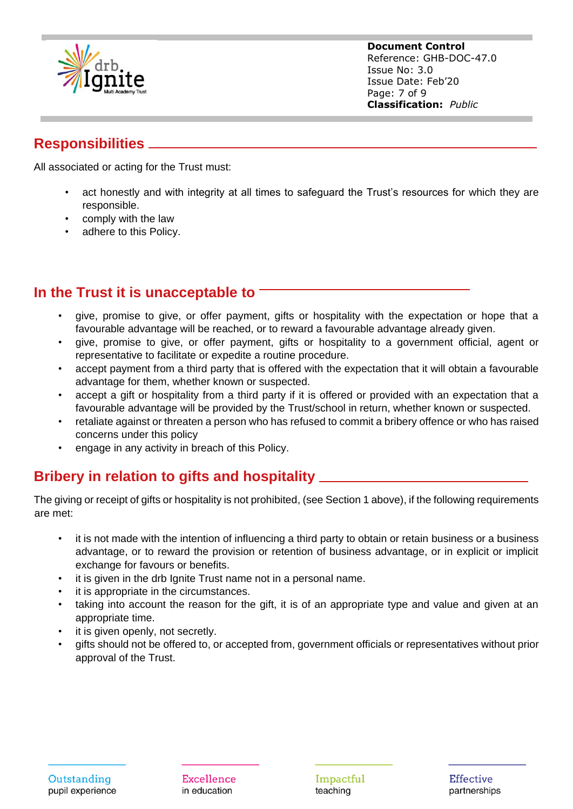

**Document Control** Reference: GHB-DOC-47.0 Issue No: 3.0 Issue Date: Feb'20 Page: 7 of 9 **Classification:** *Public*

# **Responsibilities**

All associated or acting for the Trust must:

- act honestly and with integrity at all times to safeguard the Trust's resources for which they are responsible.
- comply with the law
- adhere to this Policy.

### **In the Trust it is unacceptable to**

- give, promise to give, or offer payment, gifts or hospitality with the expectation or hope that a favourable advantage will be reached, or to reward a favourable advantage already given.
- give, promise to give, or offer payment, gifts or hospitality to a government official, agent or representative to facilitate or expedite a routine procedure.
- accept payment from a third party that is offered with the expectation that it will obtain a favourable advantage for them, whether known or suspected.
- accept a gift or hospitality from a third party if it is offered or provided with an expectation that a favourable advantage will be provided by the Trust/school in return, whether known or suspected.
- retaliate against or threaten a person who has refused to commit a bribery offence or who has raised concerns under this policy
- engage in any activity in breach of this Policy.

# **Bribery in relation to gifts and hospitality**

The giving or receipt of gifts or hospitality is not prohibited, (see Section 1 above), if the following requirements are met:

- it is not made with the intention of influencing a third party to obtain or retain business or a business advantage, or to reward the provision or retention of business advantage, or in explicit or implicit exchange for favours or benefits.
- it is given in the drb Ignite Trust name not in a personal name.
- it is appropriate in the circumstances.
- taking into account the reason for the gift, it is of an appropriate type and value and given at an appropriate time.
- it is given openly, not secretly.
- gifts should not be offered to, or accepted from, government officials or representatives without prior approval of the Trust.

**Excellence** in education

Impactful teaching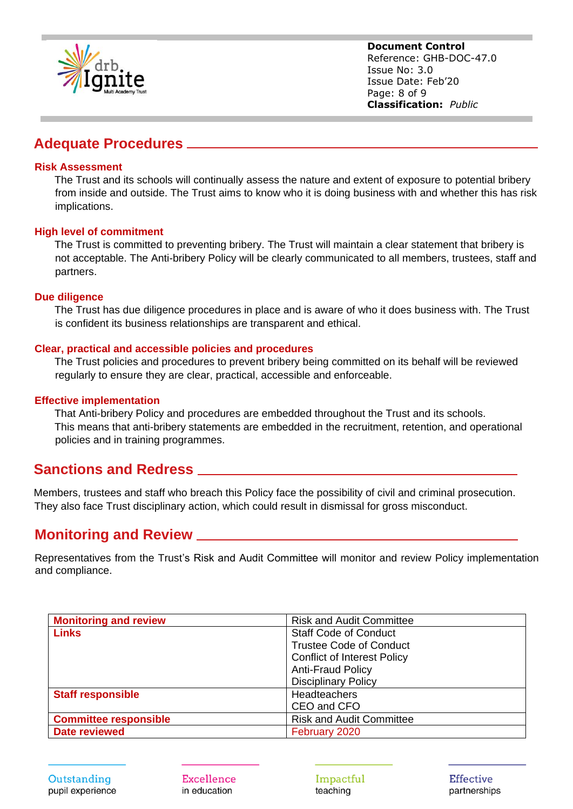

**Document Control** Reference: GHB-DOC-47.0 Issue No: 3.0 Issue Date: Feb'20 Page: 8 of 9 **Classification:** *Public*

#### **Adequate Procedures**

#### **Risk Assessment**

The Trust and its schools will continually assess the nature and extent of exposure to potential bribery from inside and outside. The Trust aims to know who it is doing business with and whether this has risk implications.

#### **High level of commitment**

The Trust is committed to preventing bribery. The Trust will maintain a clear statement that bribery is not acceptable. The Anti-bribery Policy will be clearly communicated to all members, trustees, staff and partners.

#### **Due diligence**

The Trust has due diligence procedures in place and is aware of who it does business with. The Trust is confident its business relationships are transparent and ethical.

#### **Clear, practical and accessible policies and procedures**

The Trust policies and procedures to prevent bribery being committed on its behalf will be reviewed regularly to ensure they are clear, practical, accessible and enforceable.

#### **Effective implementation**

That Anti-bribery Policy and procedures are embedded throughout the Trust and its schools. This means that anti-bribery statements are embedded in the recruitment, retention, and operational policies and in training programmes.

#### **Sanctions and Redress**

Members, trustees and staff who breach this Policy face the possibility of civil and criminal prosecution. They also face Trust disciplinary action, which could result in dismissal for gross misconduct.

#### **Monitoring and Review**

Representatives from the Trust's Risk and Audit Committee will monitor and review Policy implementation and compliance.

| <b>Monitoring and review</b> | <b>Risk and Audit Committee</b>    |
|------------------------------|------------------------------------|
| <b>Links</b>                 | <b>Staff Code of Conduct</b>       |
|                              | <b>Trustee Code of Conduct</b>     |
|                              | <b>Conflict of Interest Policy</b> |
|                              | <b>Anti-Fraud Policy</b>           |
|                              | <b>Disciplinary Policy</b>         |
| <b>Staff responsible</b>     | Headteachers                       |
|                              | CEO and CFO                        |
| <b>Committee responsible</b> | <b>Risk and Audit Committee</b>    |
| <b>Date reviewed</b>         | February 2020                      |

Outstanding pupil experience **Excellence** in education

Impactful teaching